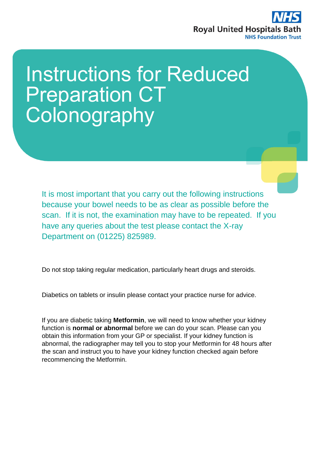

# Instructions for Reduced Preparation CT **Colonography**

It is most important that you carry out the following instructions because your bowel needs to be as clear as possible before the scan. If it is not, the examination may have to be repeated. If you have any queries about the test please contact the X-ray Department on (01225) 825989.

Do not stop taking regular medication, particularly heart drugs and steroids.

Diabetics on tablets or insulin please contact your practice nurse for advice.

If you are diabetic taking **Metformin**, we will need to know whether your kidney function is **normal or abnormal** before we can do your scan. Please can you obtain this information from your GP or specialist. If your kidney function is abnormal, the radiographer may tell you to stop your Metformin for 48 hours after the scan and instruct you to have your kidney function checked again before recommencing the Metformin.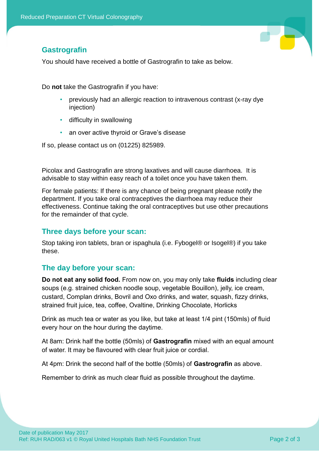# T

# **Gastrografin**

You should have received a bottle of Gastrografin to take as below.

Do **not** take the Gastrografin if you have:

- previously had an allergic reaction to intravenous contrast (x-ray dye injection)
- difficulty in swallowing
- an over active thyroid or Grave's disease

If so, please contact us on (01225) 825989.

Picolax and Gastrografin are strong laxatives and will cause diarrhoea. It is advisable to stay within easy reach of a toilet once you have taken them.

For female patients: If there is any chance of being pregnant please notify the department. If you take oral contraceptives the diarrhoea may reduce their effectiveness. Continue taking the oral contraceptives but use other precautions for the remainder of that cycle.

## **Three days before your scan:**

Stop taking iron tablets, bran or ispaghula (i.e. Fybogel® or Isogel®) if you take these.

## **The day before your scan:**

**Do not eat any solid food.** From now on, you may only take **fluids** including clear soups (e.g. strained chicken noodle soup, vegetable Bouillon), jelly, ice cream, custard, Complan drinks, Bovril and Oxo drinks, and water, squash, fizzy drinks, strained fruit juice, tea, coffee, Ovaltine, Drinking Chocolate, Horlicks

Drink as much tea or water as you like, but take at least 1/4 pint (150mls) of fluid every hour on the hour during the daytime.

At 8am: Drink half the bottle (50mls) of **Gastrografin** mixed with an equal amount of water. It may be flavoured with clear fruit juice or cordial.

At 4pm: Drink the second half of the bottle (50mls) of **Gastrografin** as above.

Remember to drink as much clear fluid as possible throughout the daytime.